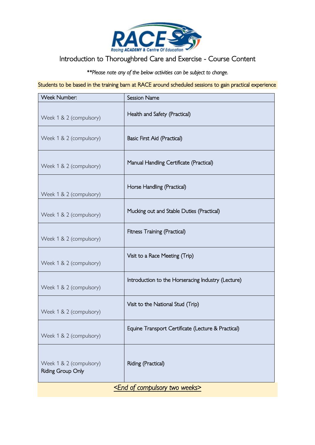

## Introduction to Thoroughbred Care and Exercise - Course Content

*\*\*Please note any of the below activities can be subject to change.* 

Students to be based in the training barn at RACE around scheduled sessions to gain practical experience

| Week Number:                                           | <b>Session Name</b>                                |
|--------------------------------------------------------|----------------------------------------------------|
| Week 1 & 2 (compulsory)                                | Health and Safety (Practical)                      |
| Week 1 & 2 (compulsory)                                | Basic First Aid (Practical)                        |
| Week 1 & 2 (compulsory)                                | Manual Handling Certificate (Practical)            |
| Week 1 & 2 (compulsory)                                | Horse Handling (Practical)                         |
| Week 1 & 2 (compulsory)                                | Mucking out and Stable Duties (Practical)          |
| Week 1 & 2 (compulsory)                                | Fitness Training (Practical)                       |
| Week 1 & 2 (compulsory)                                | Visit to a Race Meeting (Trip)                     |
| Week 1 & 2 (compulsory)                                | Introduction to the Horseracing Industry (Lecture) |
| Week 1 & 2 (compulsory)                                | Visit to the National Stud (Trip)                  |
| Week 1 & 2 (compulsory)                                | Equine Transport Certificate (Lecture & Practical) |
| Week 1 & 2 (compulsory)<br><b>Riding Group Only</b>    | Riding (Practical)                                 |
| <u><end compulsory="" of="" two="" weeks=""></end></u> |                                                    |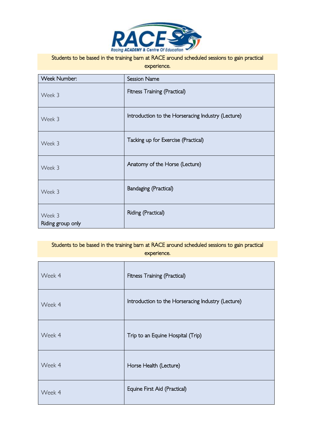

## Students to be based in the training barn at RACE around scheduled sessions to gain practical

| experience. |  |
|-------------|--|
|             |  |

| Week Number:                | <b>Session Name</b>                                |
|-----------------------------|----------------------------------------------------|
| Week 3                      | Fitness Training (Practical)                       |
| Week 3                      | Introduction to the Horseracing Industry (Lecture) |
| Week 3                      | Tacking up for Exercise (Practical)                |
| Week 3                      | Anatomy of the Horse (Lecture)                     |
| Week 3                      | <b>Bandaging (Practical)</b>                       |
| Week 3<br>Riding group only | Riding (Practical)                                 |

## Students to be based in the training barn at RACE around scheduled sessions to gain practical experience.

| Week 4 | Fitness Training (Practical)                       |
|--------|----------------------------------------------------|
| Week 4 | Introduction to the Horseracing Industry (Lecture) |
| Week 4 | Trip to an Equine Hospital (Trip)                  |
| Week 4 | Horse Health (Lecture)                             |
| Week 4 | Equine First Aid (Practical)                       |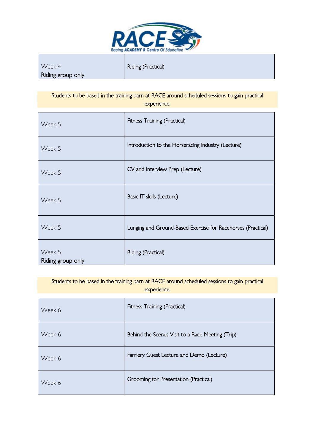

 $\overline{a}$ 

| Week 4            | Riding (Practical) |
|-------------------|--------------------|
| Riding group only |                    |

Students to be based in the training barn at RACE around scheduled sessions to gain practical experience.

| Week 5                      | Fitness Training (Practical)                                 |
|-----------------------------|--------------------------------------------------------------|
| Week 5                      | Introduction to the Horseracing Industry (Lecture)           |
| Week 5                      | CV and Interview Prep (Lecture)                              |
| Week 5                      | Basic IT skills (Lecture)                                    |
| Week 5                      | Lunging and Ground-Based Exercise for Racehorses (Practical) |
| Week 5<br>Riding group only | Riding (Practical)                                           |

| Students to be based in the training barn at RACE around scheduled sessions to gain practical |  |
|-----------------------------------------------------------------------------------------------|--|
| experience.                                                                                   |  |
|                                                                                               |  |

| Week 6 | Fitness Training (Practical)                     |
|--------|--------------------------------------------------|
| Week 6 | Behind the Scenes Visit to a Race Meeting (Trip) |
| Week 6 | Farriery Guest Lecture and Demo (Lecture)        |
| Week 6 | Grooming for Presentation (Practical)            |